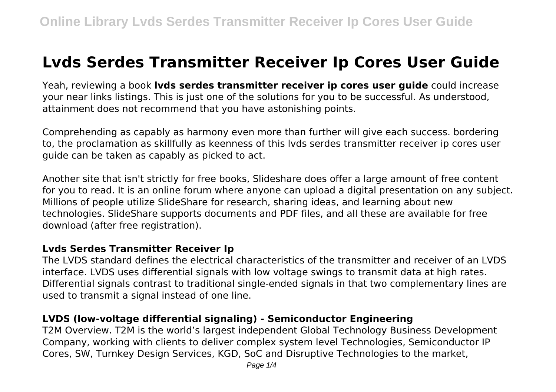# **Lvds Serdes Transmitter Receiver Ip Cores User Guide**

Yeah, reviewing a book **lvds serdes transmitter receiver ip cores user guide** could increase your near links listings. This is just one of the solutions for you to be successful. As understood, attainment does not recommend that you have astonishing points.

Comprehending as capably as harmony even more than further will give each success. bordering to, the proclamation as skillfully as keenness of this lvds serdes transmitter receiver ip cores user guide can be taken as capably as picked to act.

Another site that isn't strictly for free books, Slideshare does offer a large amount of free content for you to read. It is an online forum where anyone can upload a digital presentation on any subject. Millions of people utilize SlideShare for research, sharing ideas, and learning about new technologies. SlideShare supports documents and PDF files, and all these are available for free download (after free registration).

#### **Lvds Serdes Transmitter Receiver Ip**

The LVDS standard defines the electrical characteristics of the transmitter and receiver of an LVDS interface. LVDS uses differential signals with low voltage swings to transmit data at high rates. Differential signals contrast to traditional single-ended signals in that two complementary lines are used to transmit a signal instead of one line.

## **LVDS (low-voltage differential signaling) - Semiconductor Engineering**

T2M Overview. T2M is the world's largest independent Global Technology Business Development Company, working with clients to deliver complex system level Technologies, Semiconductor IP Cores, SW, Turnkey Design Services, KGD, SoC and Disruptive Technologies to the market,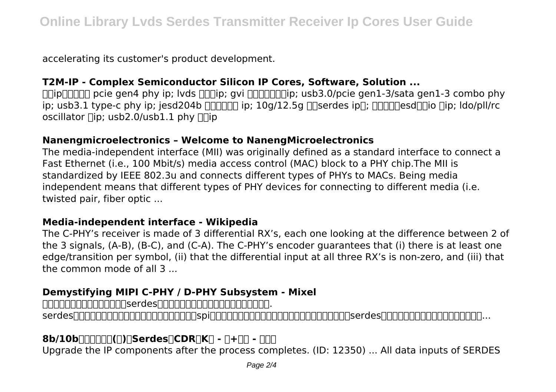accelerating its customer's product development.

## **T2M-IP - Complex Semiconductor Silicon IP Cores, Software, Solution ...**

 $\Box$ ip $\Box$  $\Box$  pcie gen4 phy ip; lvds  $\Box$ ip; gvi  $\Box$  $\Box$  $\Box$ ip; usb3.0/pcie gen1-3/sata gen1-3 combo phy ip; usb3.1 type-c phy ip; jesd204b  $\Box$  $\Box$  $\Box$  ip; 10g/12.5g  $\Box$ Serdes ip $\Box$ ;  $\Box$  $\Box$  $\Box$  $\Box$ esd $\Box$  $\Box$ io  $\Box$ ip; ldo/pll/rc oscillator  $\Box$ ip; usb2.0/usb1.1 phy  $\Box$ 

## **Nanengmicroelectronics – Welcome to NanengMicroelectronics**

The media-independent interface (MII) was originally defined as a standard interface to connect a Fast Ethernet (i.e., 100 Mbit/s) media access control (MAC) block to a PHY chip.The MII is standardized by IEEE 802.3u and connects different types of PHYs to MACs. Being media independent means that different types of PHY devices for connecting to different media (i.e. twisted pair, fiber optic ...

#### **Media-independent interface - Wikipedia**

The C-PHY's receiver is made of 3 differential RX's, each one looking at the difference between 2 of the 3 signals, (A-B), (B-C), and (C-A). The C-PHY's encoder guarantees that (i) there is at least one edge/transition per symbol, (ii) that the differential input at all three RX's is non-zero, and (iii) that the common mode of all 3 ...

## **Demystifying MIPI C-PHY / D-PHY Subsystem - Mixel**

andenandenandeserdesaandenandenandenanden.

serdes可以工作在多吉比特的速率,同样作为串行总线的spi却常常在十兆或数十兆比特的速率,为何差别这么大呢?serdes的特别之处在哪里?用了什么技术?这里...

# **8b/10b编码技术系列(一):Serdes、CDR、K码 - 云+社区 - 腾讯云**

Upgrade the IP components after the process completes. (ID: 12350) ... All data inputs of SERDES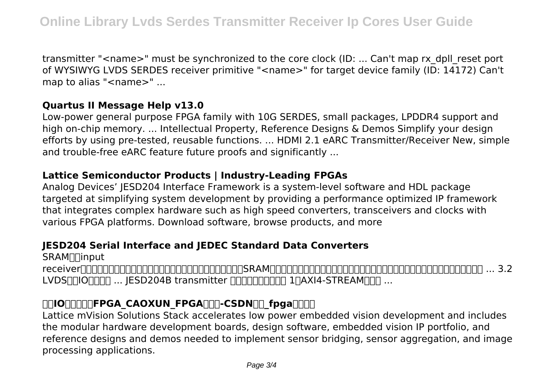transmitter "<name>" must be synchronized to the core clock (ID: ... Can't map rx\_dpll\_reset port of WYSIWYG LVDS SERDES receiver primitive "<name>" for target device family (ID: 14172) Can't map to alias "<name>" ...

## **Quartus II Message Help v13.0**

Low-power general purpose FPGA family with 10G SERDES, small packages, LPDDR4 support and high on-chip memory. ... Intellectual Property, Reference Designs & Demos Simplify your design efforts by using pre-tested, reusable functions. ... HDMI 2.1 eARC Transmitter/Receiver New, simple and trouble-free eARC feature future proofs and significantly ...

## **Lattice Semiconductor Products | Industry-Leading FPGAs**

Analog Devices' JESD204 Interface Framework is a system-level software and HDL package targeted at simplifying system development by providing a performance optimized IP framework that integrates complex hardware such as high speed converters, transceivers and clocks with various FPGA platforms. Download software, browse products, and more

## **JESD204 Serial Interface and JEDEC Standard Data Converters**

SRAM∏input  $receiver \Pi$  nonche communication  $\Gamma$  and  $\Gamma$  and  $\Gamma$  are  $\Gamma$  and  $\Gamma$  are  $\Gamma$  are  $\Gamma$  and  $\Gamma$  are  $\Gamma$  are  $\Gamma$  are  $\Gamma$  are  $\Gamma$  are  $\Gamma$  are  $\Gamma$  are  $\Gamma$  and  $\Gamma$  are  $\Gamma$  are  $\Gamma$  are  $\Gamma$  are  $\Gamma$  are  $\Gamma$  are  $\Gamma$ LVDS门门O∏门门 ... JESD204B transmitter ΠΠΠΠΠΠΠΠΠ 1ΠΑΧΙ4-STREAMΠΠΠ ...

## **TOOTTTTFPGA\_CAOXUN\_FPGATTT-CSDNTT\_fpga\_TOOT**

Lattice mVision Solutions Stack accelerates low power embedded vision development and includes the modular hardware development boards, design software, embedded vision IP portfolio, and reference designs and demos needed to implement sensor bridging, sensor aggregation, and image processing applications.